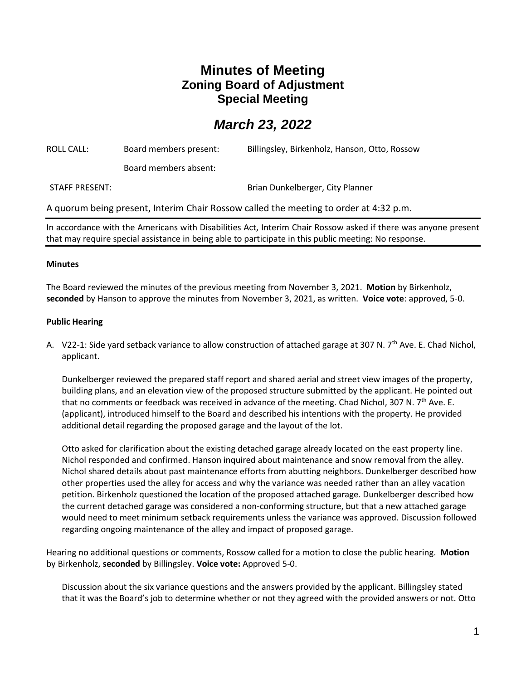# **Minutes of Meeting Zoning Board of Adjustment Special Meeting**

# *March 23, 2022*

| ROLL CALL:                                                                            | Board members present: | Billingsley, Birkenholz, Hanson, Otto, Rossow |
|---------------------------------------------------------------------------------------|------------------------|-----------------------------------------------|
|                                                                                       | Board members absent:  |                                               |
| <b>STAFF PRESENT:</b>                                                                 |                        | Brian Dunkelberger, City Planner              |
| A quorum being present, Interim Chair Rossow called the meeting to order at 4:32 p.m. |                        |                                               |
|                                                                                       |                        |                                               |

In accordance with the Americans with Disabilities Act, Interim Chair Rossow asked if there was anyone present that may require special assistance in being able to participate in this public meeting: No response.

## **Minutes**

The Board reviewed the minutes of the previous meeting from November 3, 2021. **Motion** by Birkenholz, **seconded** by Hanson to approve the minutes from November 3, 2021, as written. **Voice vote**: approved, 5-0.

## **Public Hearing**

A. V22-1: Side yard setback variance to allow construction of attached garage at 307 N. 7<sup>th</sup> Ave. E. Chad Nichol, applicant.

Dunkelberger reviewed the prepared staff report and shared aerial and street view images of the property, building plans, and an elevation view of the proposed structure submitted by the applicant. He pointed out that no comments or feedback was received in advance of the meeting. Chad Nichol, 307 N. 7<sup>th</sup> Ave. E. (applicant), introduced himself to the Board and described his intentions with the property. He provided additional detail regarding the proposed garage and the layout of the lot.

Otto asked for clarification about the existing detached garage already located on the east property line. Nichol responded and confirmed. Hanson inquired about maintenance and snow removal from the alley. Nichol shared details about past maintenance efforts from abutting neighbors. Dunkelberger described how other properties used the alley for access and why the variance was needed rather than an alley vacation petition. Birkenholz questioned the location of the proposed attached garage. Dunkelberger described how the current detached garage was considered a non-conforming structure, but that a new attached garage would need to meet minimum setback requirements unless the variance was approved. Discussion followed regarding ongoing maintenance of the alley and impact of proposed garage.

Hearing no additional questions or comments, Rossow called for a motion to close the public hearing. **Motion**  by Birkenholz, **seconded** by Billingsley. **Voice vote:** Approved 5-0.

Discussion about the six variance questions and the answers provided by the applicant. Billingsley stated that it was the Board's job to determine whether or not they agreed with the provided answers or not. Otto